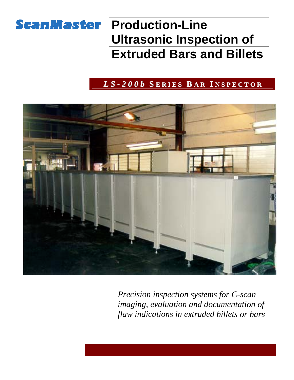# **ScanMaster Production-Line Ultrasonic Inspection of Extruded Bars and Billets**

### *L S - 2 0 0 b* **S E R I E S B A R I N S P E C T O R**



*Precision inspection systems for C-scan imaging, evaluation and documentation of flaw indications in extruded billets or bars*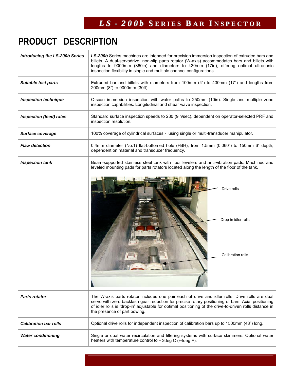# **PRODUCT DESCRIPTION**

| <b>Introducing the LS-200b Series</b> | LS-200b Series machines are intended for precision immersion inspection of extruded bars and<br>billets. A dual-servodrive, non-slip parts rotator (W-axis) accommodates bars and billets with<br>lengths to 9000mm (360in) and diameters to 430mm (17in), offering optimal ultrasonic<br>inspection flexibility in single and multiple channel configurations. |  |  |  |  |  |
|---------------------------------------|-----------------------------------------------------------------------------------------------------------------------------------------------------------------------------------------------------------------------------------------------------------------------------------------------------------------------------------------------------------------|--|--|--|--|--|
| <b>Suitable test parts</b>            | Extruded bar and billets with diameters from 100mm (4") to 430mm (17") and lengths from<br>200mm (8") to 9000mm (30ft).                                                                                                                                                                                                                                         |  |  |  |  |  |
| <b>Inspection technique</b>           | C-scan immersion inspection with water paths to 250mm (10in). Single and multiple zone<br>inspection capabilities. Longitudinal and shear wave inspection.                                                                                                                                                                                                      |  |  |  |  |  |
| <b>Inspection (feed) rates</b>        | Standard surface inspection speeds to 230 (9in/sec), dependent on operator-selected PRF and<br>inspection resolution.                                                                                                                                                                                                                                           |  |  |  |  |  |
| Surface coverage                      | 100% coverage of cylindrical surfaces - using single or multi-transducer manipulator.                                                                                                                                                                                                                                                                           |  |  |  |  |  |
| <b>Flaw detection</b>                 | 0.4mm diameter (No.1) flat-bottomed hole (FBH), from 1.5mm (0.060") to 150mm 6" depth,<br>dependent on material and transducer frequency.                                                                                                                                                                                                                       |  |  |  |  |  |
| <b>Inspection tank</b>                | Beam-supported stainless steel tank with floor levelers and anti-vibration pads. Machined and<br>leveled mounting pads for parts rotators located along the length of the floor of the tank.                                                                                                                                                                    |  |  |  |  |  |
|                                       | Drive rolls<br>Drop-in idler rolls<br>Calibration rolls                                                                                                                                                                                                                                                                                                         |  |  |  |  |  |
| <b>Parts rotator</b>                  | The W-axis parts rotator includes one pair each of drive and idler rolls. Drive rolls are dual<br>servo with zero backlash gear reduction for precise rotary positioning of bars. Axial positioning<br>of idler rolls is 'drop-in' adjustable for optimal positioning of the drive-to-driven rolls distance in<br>the presence of part bowing.                  |  |  |  |  |  |
| <b>Calibration bar rolls</b>          | Optional drive rolls for independent inspection of calibration bars up to 1500mm (48") long.                                                                                                                                                                                                                                                                    |  |  |  |  |  |
| <b>Water conditioning</b>             | Single or dual water recirculation and filtering systems with surface skimmers. Optional water<br>heaters with temperature control to $\pm$ 2deg C ( $\pm$ 4deg F).                                                                                                                                                                                             |  |  |  |  |  |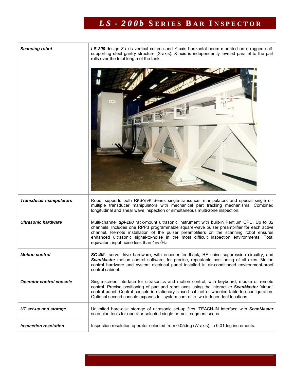## *L S - 2 0 0 b* **S E R I E S B A R I N S P E C T O R**

| <b>Scanning robot</b>           | LS-200-design Z-axis vertical column and Y-axis horizontal boom mounted on a rugged self-<br>supporting steel gantry structure (X-axis). X-axis is independently leveled parallel to the part<br>rolls over the total length of the tank.<br>$+11$                                                                                                                                                                               |  |  |  |  |  |
|---------------------------------|----------------------------------------------------------------------------------------------------------------------------------------------------------------------------------------------------------------------------------------------------------------------------------------------------------------------------------------------------------------------------------------------------------------------------------|--|--|--|--|--|
|                                 |                                                                                                                                                                                                                                                                                                                                                                                                                                  |  |  |  |  |  |
| <b>Transducer manipulators</b>  | Robot supports both RESOLVE Series single-transducer manipulators and special single or-<br>multiple transducer manipulators with mechanical part tracking mechanisms. Combined<br>longitudinal and shear wave inspection or simultaneous multi-zone inspection.                                                                                                                                                                 |  |  |  |  |  |
| <b>Ultrasonic hardware</b>      | Multi-channel upi-100 rack-mount ultrasonic instrument with built-in Pentium CPU. Up to 32<br>channels. Includes one RPP3 programmable square-wave pulser preamplifier for each active<br>channel. Remote installation of the pulser preamplifiers on the scanning robot ensures<br>enhanced ultrasonic signal-to-noise in the most difficult inspection environments. Total<br>equivalent input noise less than 4nv $\sqrt{Hz}$ |  |  |  |  |  |
| <b>Motion control</b>           | <b>SC-4M</b> servo drive hardware, with encoder feedback, RF noise suppression circuitry, and<br>ScanMaster motion control software, for precise, repeatable positioning of all axes. Motion<br>control hardware and system electrical panel installed in air-conditioned environment-proof<br>control cabinet.                                                                                                                  |  |  |  |  |  |
| <b>Operator control console</b> | Single-screen interface for ultrasonics and motion control, with keyboard, mouse or remote<br>control. Precise positioning of part and robot axes using the interactive ScanMaster 'virtual'<br>control panel. Control console in stationary closed cabinet or wheeled table-top configuration.<br>Optional second console expands full system control to two independent locations.                                             |  |  |  |  |  |
| UT set-up and storage           | Unlimited hard-disk storage of ultrasonic set-up files. TEACH-IN interface with ScanMaster<br>scan plan tools for operator-selected single or multi-segment scans.                                                                                                                                                                                                                                                               |  |  |  |  |  |
| <b>Inspection resolution</b>    | Inspection resolution operator-selected from 0.05deg (W-axis), in 0.01deg increments.                                                                                                                                                                                                                                                                                                                                            |  |  |  |  |  |